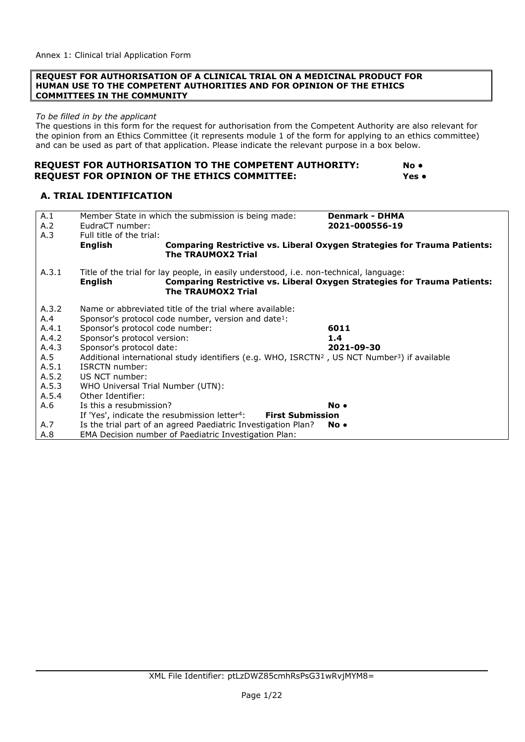#### **REQUEST FOR AUTHORISATION OF A CLINICAL TRIAL ON A MEDICINAL PRODUCT FOR HUMAN USE TO THE COMPETENT AUTHORITIES AND FOR OPINION OF THE ETHICS COMMITTEES IN THE COMMUNITY**

#### *To be filled in by the applicant*

The questions in this form for the request for authorisation from the Competent Authority are also relevant for the opinion from an Ethics Committee (it represents module 1 of the form for applying to an ethics committee) and can be used as part of that application. Please indicate the relevant purpose in a box below.

#### **REQUEST FOR AUTHORISATION TO THE COMPETENT AUTHORITY: No** ● **REQUEST FOR OPINION OF THE ETHICS COMMITTEE: Yes ●**

#### **A. TRIAL IDENTIFICATION**

| A.1<br>A.2 | Member State in which the submission is being made:<br>EudraCT number:                                                                | <b>Denmark - DHMA</b><br>2021-000556-19                                         |
|------------|---------------------------------------------------------------------------------------------------------------------------------------|---------------------------------------------------------------------------------|
| A.3        | Full title of the trial:                                                                                                              |                                                                                 |
|            | <b>English</b><br><b>The TRAUMOX2 Trial</b>                                                                                           | <b>Comparing Restrictive vs. Liberal Oxygen Strategies for Trauma Patients:</b> |
| A.3.1      | Title of the trial for lay people, in easily understood, i.e. non-technical, language:<br><b>English</b><br><b>The TRAUMOX2 Trial</b> | <b>Comparing Restrictive vs. Liberal Oxygen Strategies for Trauma Patients:</b> |
| A.3.2      | Name or abbreviated title of the trial where available:                                                                               |                                                                                 |
| A.4        | Sponsor's protocol code number, version and date <sup>1</sup> :                                                                       |                                                                                 |
| A.4.1      | Sponsor's protocol code number:                                                                                                       | 6011                                                                            |
| A.4.2      | Sponsor's protocol version:                                                                                                           | 1.4                                                                             |
| A.4.3      | Sponsor's protocol date:                                                                                                              | 2021-09-30                                                                      |
| A.5        | Additional international study identifiers (e.g. WHO, ISRCTN <sup>2</sup> , US NCT Number <sup>3</sup> ) if available                 |                                                                                 |
| A.5.1      | ISRCTN number:                                                                                                                        |                                                                                 |
| A.5.2      | US NCT number:                                                                                                                        |                                                                                 |
| A.5.3      | WHO Universal Trial Number (UTN):                                                                                                     |                                                                                 |
| A.5.4      | Other Identifier:                                                                                                                     |                                                                                 |
| A.6        | Is this a resubmission?                                                                                                               | No.                                                                             |
|            | If 'Yes', indicate the resubmission letter <sup>4</sup> :<br><b>First Submission</b>                                                  |                                                                                 |
| A.7        | Is the trial part of an agreed Paediatric Investigation Plan?                                                                         | No •                                                                            |
| A.8        | EMA Decision number of Paediatric Investigation Plan:                                                                                 |                                                                                 |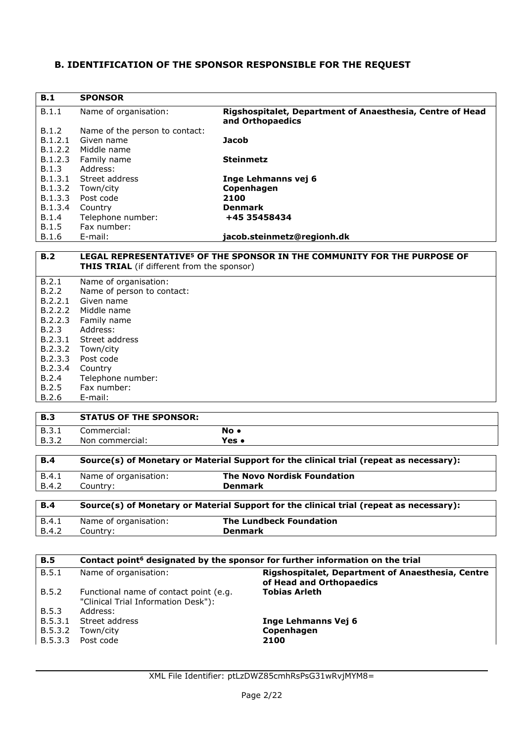#### **B. IDENTIFICATION OF THE SPONSOR RESPONSIBLE FOR THE REQUEST**

| B.1     | <b>SPONSOR</b>                 |                                                                               |
|---------|--------------------------------|-------------------------------------------------------------------------------|
| B.1.1   | Name of organisation:          | Rigshospitalet, Department of Anaesthesia, Centre of Head<br>and Orthopaedics |
| B.1.2   | Name of the person to contact: |                                                                               |
| B.1.2.1 | Given name                     | <b>Jacob</b>                                                                  |
| B.1.2.2 | Middle name                    |                                                                               |
| B.1.2.3 | Family name                    | <b>Steinmetz</b>                                                              |
| B.1.3   | Address:                       |                                                                               |
| B.1.3.1 | Street address                 | Inge Lehmanns vej 6                                                           |
| B.1.3.2 | Town/city                      | Copenhagen                                                                    |
| B.1.3.3 | Post code                      | 2100                                                                          |
| B.1.3.4 | Country                        | <b>Denmark</b>                                                                |
| B.1.4   | Telephone number:              | +45 35458434                                                                  |
| B.1.5   | Fax number:                    |                                                                               |
| B.1.6   | E-mail:                        | jacob.steinmetz@regionh.dk                                                    |

#### **B.2 LEGAL REPRESENTATIVE5 OF THE SPONSOR IN THE COMMUNITY FOR THE PURPOSE OF THIS TRIAL** (if different from the sponsor)

| B.2.1   | Name of organisation:      |
|---------|----------------------------|
| B.2.2   | Name of person to contact: |
| B.2.2.1 | Given name                 |
| B.2.2.2 | Middle name                |
| B.2.2.3 | Family name                |
| B.2.3   | Address:                   |
|         | B.2.3.1 Street address     |
| B.2.3.2 | Town/city                  |
| B.2.3.3 | Post code                  |
| B.2.3.4 | Country                    |
| B.2.4   | Telephone number:          |
| B.2.5   | Fax number:                |
| B.2.6   | E-mail:                    |
|         |                            |

## **B.3 STATUS OF THE SPONSOR:** B.3.1 Commercial: **No ●** B.3.2 Non commercial: **Yes ●**

| B.4   | Source(s) of Monetary or Material Support for the clinical trial (repeat as necessary): |                                    |
|-------|-----------------------------------------------------------------------------------------|------------------------------------|
| B.4.1 | Name of organisation:                                                                   | <b>The Novo Nordisk Foundation</b> |
| B.4.2 | <b>Denmark</b><br>Countrv:                                                              |                                    |
|       |                                                                                         |                                    |

| <b>B.4</b> | Source(s) of Monetary or Material Support for the clinical trial (repeat as necessary): |                         |
|------------|-----------------------------------------------------------------------------------------|-------------------------|
| B.4.1      | Name of organisation:                                                                   | The Lundbeck Foundation |
| B.4.2      | Country:                                                                                | <b>Denmark</b>          |

| <b>B.5</b> | Contact point <sup>6</sup> designated by the sponsor for further information on the trial |                                                                               |
|------------|-------------------------------------------------------------------------------------------|-------------------------------------------------------------------------------|
| B.5.1      | Name of organisation:                                                                     | Rigshospitalet, Department of Anaesthesia, Centre<br>of Head and Orthopaedics |
| B.5.2      | Functional name of contact point (e.g.<br>"Clinical Trial Information Desk"):             | <b>Tobias Arleth</b>                                                          |
| B.5.3      | Address:                                                                                  |                                                                               |
| B.5.3.1    | Street address                                                                            | Inge Lehmanns Vej 6                                                           |
| B.5.3.2    | Town/city                                                                                 | Copenhagen                                                                    |
| B.5.3.3    | Post code                                                                                 | 2100                                                                          |
|            |                                                                                           |                                                                               |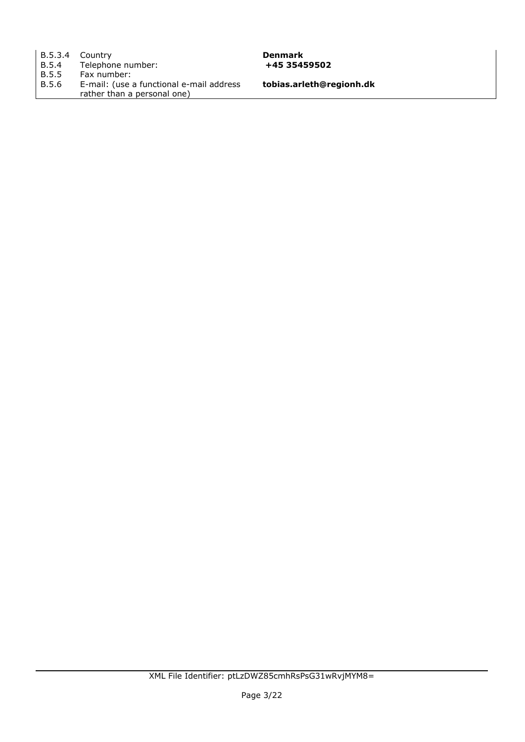|       | B.5.3.4 Country                          |
|-------|------------------------------------------|
| B.5.4 | Telephone number:                        |
| B.5.5 | Fax number:                              |
| B.5.6 | E-mail: (use a functional e-mail address |
|       | rather than a personal one)              |

**Denmark** B.5.4 Telephone number: **+45 35459502** 

**tobias.arleth@regionh.dk**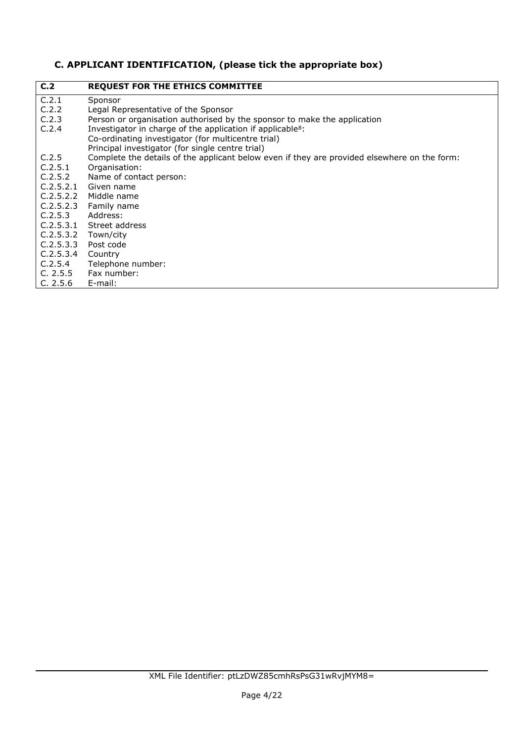# **C. APPLICANT IDENTIFICATION, (please tick the appropriate box)**

| C <sub>12</sub> | <b>REQUEST FOR THE ETHICS COMMITTEE</b>                                                      |
|-----------------|----------------------------------------------------------------------------------------------|
| C.2.1           | Sponsor                                                                                      |
| C.2.2           | Legal Representative of the Sponsor                                                          |
| C.2.3           | Person or organisation authorised by the sponsor to make the application                     |
| C.2.4           | Investigator in charge of the application if applicable <sup>8</sup> :                       |
|                 | Co-ordinating investigator (for multicentre trial)                                           |
|                 | Principal investigator (for single centre trial)                                             |
| C.2.5           | Complete the details of the applicant below even if they are provided elsewhere on the form: |
| C.2.5.1         | Organisation:                                                                                |
| C.2.5.2         | Name of contact person:                                                                      |
| C.2.5.2.1       | Given name                                                                                   |
| C.2.5.2.2       | Middle name                                                                                  |
| C.2.5.2.3       | Family name                                                                                  |
| C.2.5.3         | Address:                                                                                     |
|                 | C.2.5.3.1 Street address                                                                     |
| C.2.5.3.2       | Town/city                                                                                    |
| C.2.5.3.3       | Post code                                                                                    |
| C.2.5.3.4       | Country                                                                                      |
| C.2.5.4         | Telephone number:                                                                            |
| C. 2.5.5        | Fax number:                                                                                  |
| C. 2.5.6        | E-mail:                                                                                      |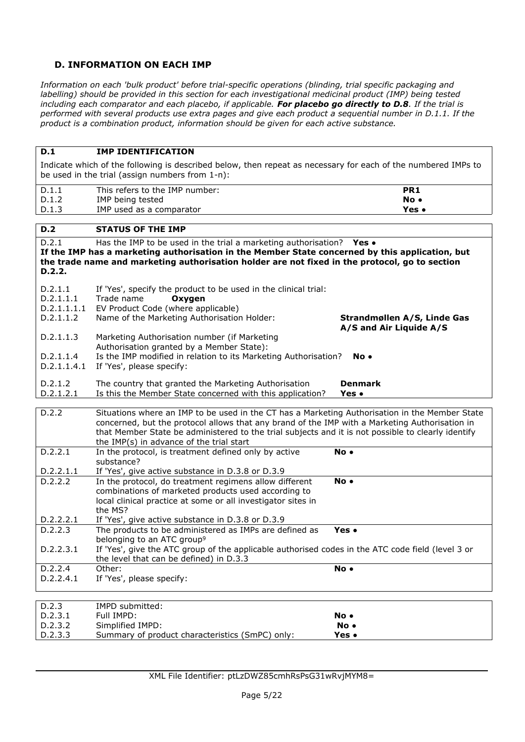## **D. INFORMATION ON EACH IMP**

*Information on each 'bulk product' before trial-specific operations (blinding, trial specific packaging and labelling) should be provided in this section for each investigational medicinal product (IMP) being tested including each comparator and each placebo, if applicable. For placebo go directly to D.8. If the trial is performed with several products use extra pages and give each product a sequential number in D.1.1. If the product is a combination product, information should be given for each active substance.*

#### **D.1 IMP IDENTIFICATION**

Indicate which of the following is described below, then repeat as necessary for each of the numbered IMPs to be used in the trial (assign numbers from 1-n):

| D.1.1 | This refers to the IMP number: | PR <sub>1</sub> |
|-------|--------------------------------|-----------------|
| D.1.2 | IMP being tested               | No •            |
| D.1.3 | IMP used as a comparator       | Yes .           |
|       |                                |                 |

#### **D.2 STATUS OF THE IMP**

D.2.1 Has the IMP to be used in the trial a marketing authorisation? **Yes ● If the IMP has a marketing authorisation in the Member State concerned by this application, but the trade name and marketing authorisation holder are not fixed in the protocol, go to section D.2.2.** D.2.1.1 If 'Yes', specify the product to be used in the clinical trial: D.2.1.1.1 Trade name **Oxygen** D.2.1.1.1.1 EV Product Code (where applicable) D.2.1.1.2 Name of the Marketing Authorisation Holder: **Strandmøllen A/S, Linde Gas A/S and Air Liquide A/S** D.2.1.1.3 Marketing Authorisation number (if Marketing Authorisation granted by a Member State): D.2.1.1.4 Is the IMP modified in relation to its Marketing Authorisation? **No ●** D.2.1.1.4.1 If 'Yes', please specify: D.2.1.2 The country that granted the Marketing Authorisation **Denmark** D.2.1.2.1 Is this the Member State concerned with this application? **Yes •** D.2.2 Situations where an IMP to be used in the CT has a Marketing Authorisation in the Member State concerned, but the protocol allows that any brand of the IMP with a Marketing Authorisation in that Member State be administered to the trial subjects and it is not possible to clearly identify the IMP(s) in advance of the trial start D.2.2.1 In the protocol, is treatment defined only by active substance? **No ●** D.2.2.1.1 If 'Yes', give active substance in D.3.8 or D.3.9 D.2.2.2 In the protocol, do treatment regimens allow different combinations of marketed products used according to local clinical practice at some or all investigator sites in the MS? **No ●** D.2.2.2.1 If 'Yes', give active substance in D.3.8 or D.3.9 D.2.2.3 The products to be administered as IMPs are defined as belonging to an ATC group<sup>9</sup> **Yes ●** D.2.2.3.1 If 'Yes', give the ATC group of the applicable authorised codes in the ATC code field (level 3 or the level that can be defined) in D.3.3 D.2.2.4 Other: **No ●** D.2.2.4.1 If 'Yes', please specify: D.2.3 IMPD submitted: D.2.3.1 Full IMPD: **No ●** D.2.3.2 Simplified IMPD: **No ●**

D.2.3.3 Summary of product characteristics (SmPC) only: **Yes ●**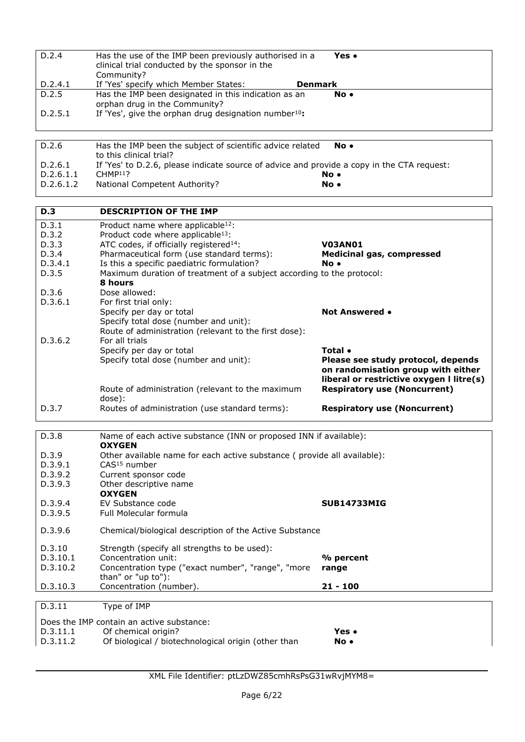| D.2.4                                     | Has the use of the IMP been previously authorised in a<br>clinical trial conducted by the sponsor in the | Yes •                                    |
|-------------------------------------------|----------------------------------------------------------------------------------------------------------|------------------------------------------|
|                                           | Community?                                                                                               |                                          |
| D.2.4.1                                   | If 'Yes' specify which Member States:                                                                    | Denmark                                  |
| D.2.5                                     | Has the IMP been designated in this indication as an                                                     | No.                                      |
|                                           | orphan drug in the Community?                                                                            |                                          |
| D.2.5.1                                   | If 'Yes', give the orphan drug designation number <sup>10</sup> :                                        |                                          |
|                                           |                                                                                                          |                                          |
| D.2.6                                     | Has the IMP been the subject of scientific advice related                                                | No.                                      |
|                                           | to this clinical trial?                                                                                  |                                          |
| D.2.6.1                                   | If 'Yes' to D.2.6, please indicate source of advice and provide a copy in the CTA request:               |                                          |
| D.2.6.1.1                                 | $CHMP11$ ?                                                                                               | No.                                      |
| D.2.6.1.2                                 | National Competent Authority?                                                                            | No.                                      |
|                                           |                                                                                                          |                                          |
| <b>D.3</b>                                | <b>DESCRIPTION OF THE IMP</b>                                                                            |                                          |
| D.3.1                                     | Product name where applicable <sup>12</sup> :                                                            |                                          |
| D.3.2                                     | Product code where applicable <sup>13</sup> :                                                            |                                          |
| D.3.3                                     | ATC codes, if officially registered <sup>14</sup> :                                                      | <b>V03AN01</b>                           |
| D.3.4                                     | Pharmaceutical form (use standard terms):                                                                | <b>Medicinal gas, compressed</b>         |
| D.3.4.1                                   | Is this a specific paediatric formulation?                                                               | No.                                      |
| D.3.5                                     | Maximum duration of treatment of a subject according to the protocol:                                    |                                          |
|                                           | 8 hours                                                                                                  |                                          |
| D.3.6                                     | Dose allowed:                                                                                            |                                          |
| D.3.6.1                                   | For first trial only:                                                                                    | <b>Not Answered •</b>                    |
|                                           | Specify per day or total<br>Specify total dose (number and unit):                                        |                                          |
|                                           | Route of administration (relevant to the first dose):                                                    |                                          |
| D.3.6.2                                   | For all trials                                                                                           |                                          |
|                                           | Specify per day or total                                                                                 | Total •                                  |
|                                           | Specify total dose (number and unit):                                                                    | Please see study protocol, depends       |
|                                           |                                                                                                          | on randomisation group with either       |
|                                           |                                                                                                          | liberal or restrictive oxygen I litre(s) |
|                                           | Route of administration (relevant to the maximum                                                         | <b>Respiratory use (Noncurrent)</b>      |
|                                           | dose):                                                                                                   |                                          |
| D.3.7                                     | Routes of administration (use standard terms):                                                           | <b>Respiratory use (Noncurrent)</b>      |
|                                           |                                                                                                          |                                          |
| D.3.8                                     | Name of each active substance (INN or proposed INN if available):<br><b>OXYGEN</b>                       |                                          |
| D.3.9                                     | Other available name for each active substance (provide all available):                                  |                                          |
| D.3.9.1                                   | CAS <sup>15</sup> number                                                                                 |                                          |
| D.3.9.2                                   | Current sponsor code                                                                                     |                                          |
| D.3.9.3                                   | Other descriptive name                                                                                   |                                          |
|                                           | <b>OXYGEN</b>                                                                                            |                                          |
| D.3.9.4                                   | EV Substance code                                                                                        | <b>SUB14733MIG</b>                       |
| D.3.9.5                                   | Full Molecular formula                                                                                   |                                          |
| D.3.9.6                                   | Chemical/biological description of the Active Substance                                                  |                                          |
|                                           |                                                                                                          |                                          |
| D.3.10                                    | Strength (specify all strengths to be used):                                                             |                                          |
| D.3.10.1                                  | Concentration unit:                                                                                      | % percent                                |
| D.3.10.2                                  | Concentration type ("exact number", "range", "more                                                       | range                                    |
|                                           | than" or "up to"):<br>Concentration (number).                                                            |                                          |
| D.3.10.3                                  |                                                                                                          | $21 - 100$                               |
| D.3.11                                    | Type of IMP                                                                                              |                                          |
| Does the IMP contain an active substance: |                                                                                                          |                                          |
| D.3.11.1                                  | Of chemical origin?                                                                                      | Yes •                                    |
| D.3.11.2                                  | Of biological / biotechnological origin (other than                                                      | No.                                      |

XML File Identifier: ptLzDWZ85cmhRsPsG31wRvjMYM8=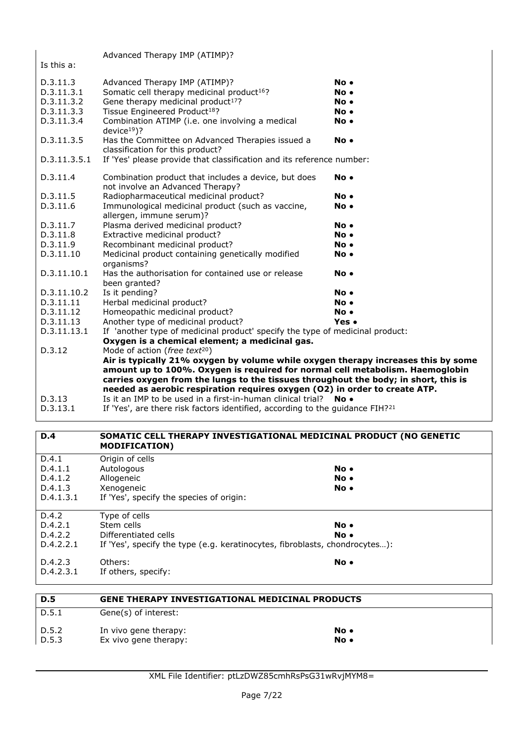|              | Advanced Therapy IMP (ATIMP)?                                                             |       |
|--------------|-------------------------------------------------------------------------------------------|-------|
| Is this a:   |                                                                                           |       |
| D.3.11.3     | Advanced Therapy IMP (ATIMP)?                                                             | No.   |
| D.3.11.3.1   | Somatic cell therapy medicinal product <sup>16</sup> ?                                    | No.   |
| D.3.11.3.2   | Gene therapy medicinal product <sup>17</sup> ?                                            | No.   |
| D.3.11.3.3   | Tissue Engineered Product <sup>18</sup> ?                                                 | No.   |
| D.3.11.3.4   | Combination ATIMP (i.e. one involving a medical<br>$device19)$ ?                          | No.   |
| D.3.11.3.5   | Has the Committee on Advanced Therapies issued a<br>classification for this product?      | No.   |
| D.3.11.3.5.1 | If 'Yes' please provide that classification and its reference number:                     |       |
| D.3.11.4     | Combination product that includes a device, but does<br>not involve an Advanced Therapy?  | No.   |
| D.3.11.5     | Radiopharmaceutical medicinal product?                                                    | No.   |
| D.3.11.6     | Immunological medicinal product (such as vaccine,<br>allergen, immune serum)?             | No.   |
| D.3.11.7     | Plasma derived medicinal product?                                                         | No.   |
| D.3.11.8     | Extractive medicinal product?                                                             | No.   |
| D.3.11.9     | Recombinant medicinal product?                                                            | No.   |
| D.3.11.10    | Medicinal product containing genetically modified<br>organisms?                           | No.   |
| D.3.11.10.1  | Has the authorisation for contained use or release<br>been granted?                       | No.   |
| D.3.11.10.2  | Is it pending?                                                                            | No.   |
| D.3.11.11    | Herbal medicinal product?                                                                 | No.   |
| D.3.11.12    | Homeopathic medicinal product?                                                            | No.   |
| D.3.11.13    | Another type of medicinal product?                                                        | Yes • |
| D.3.11.13.1  | If 'another type of medicinal product' specify the type of medicinal product:             |       |
|              | Oxygen is a chemical element; a medicinal gas.                                            |       |
| D.3.12       | Mode of action (free text <sup>20</sup> )                                                 |       |
|              | Air is typically 21% oxygen by volume while oxygen therapy increases this by some         |       |
|              | amount up to 100%. Oxygen is required for normal cell metabolism. Haemoglobin             |       |
|              | carries oxygen from the lungs to the tissues throughout the body; in short, this is       |       |
|              | needed as aerobic respiration requires oxygen (O2) in order to create ATP.                |       |
| D.3.13       | Is it an IMP to be used in a first-in-human clinical trial?                               | No •  |
| D.3.13.1     | If 'Yes', are there risk factors identified, according to the guidance FIH? <sup>21</sup> |       |
|              |                                                                                           |       |

## **D.4 SOMATIC CELL THERAPY INVESTIGATIONAL MEDICINAL PRODUCT (NO GENETIC MODIFICATION)** D.4.1 Origin of cells

| D.4.1.1<br>D.4.1.2<br>D.4.1.3<br>D.4.1.3.1 | Autologous<br>Allogeneic<br>Xenogeneic<br>If 'Yes', specify the species of origin: | $No \bullet$<br>$No \bullet$<br>$No \bullet$ |
|--------------------------------------------|------------------------------------------------------------------------------------|----------------------------------------------|
|                                            |                                                                                    |                                              |
| D.4.2                                      | Type of cells                                                                      |                                              |
| D.4.2.1                                    | Stem cells                                                                         | $No \bullet$                                 |
| D.4.2.2                                    | Differentiated cells                                                               | No.                                          |
| D.4.2.2.1                                  | If 'Yes', specify the type (e.g. keratinocytes, fibroblasts, chondrocytes):        |                                              |
| D.4.2.3<br>D.4.2.3.1                       | Others:<br>If others, specify:                                                     | $No \bullet$                                 |

| D.5   | <b>GENE THERAPY INVESTIGATIONAL MEDICINAL PRODUCTS</b> |
|-------|--------------------------------------------------------|
| D.5.1 | Gene(s) of interest:                                   |
| D.5.2 | In vivo gene therapy:<br>No •                          |
| D.5.3 | Ex vivo gene therapy:<br>No •                          |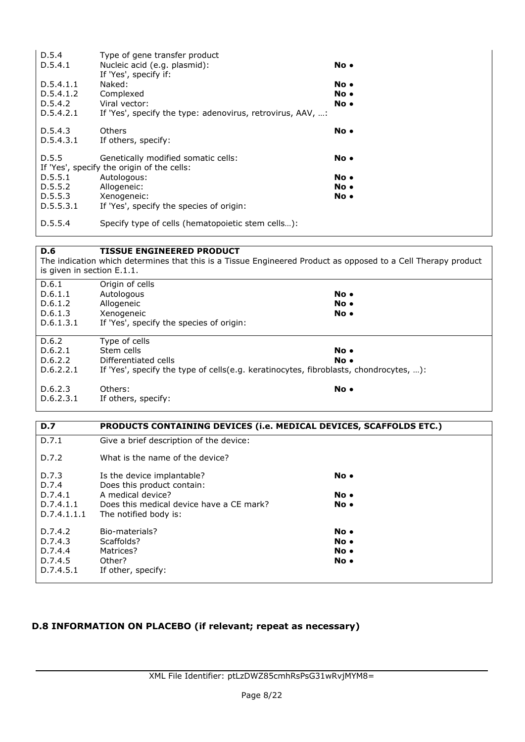| D.5.4<br>D.5.4.1 | Type of gene transfer product<br>Nucleic acid (e.g. plasmid):<br>If 'Yes', specify if: | No. |
|------------------|----------------------------------------------------------------------------------------|-----|
| D.5.4.1.1        | Naked:                                                                                 | No. |
| D.5.4.1.2        | Complexed                                                                              | No. |
| D.5.4.2          | Viral vector:                                                                          | No. |
| D.5.4.2.1        | If 'Yes', specify the type: adenovirus, retrovirus, AAV, :                             |     |
| D.5.4.3          | Others                                                                                 | No. |
| D.5.4.3.1        | If others, specify:                                                                    |     |
| D.5.5            | Genetically modified somatic cells:                                                    | No. |
| D.5.5.1          | If 'Yes', specify the origin of the cells:<br>Autologous:                              | No. |
| D.5.5.2          | Allogeneic:                                                                            | No. |
| D.5.5.3          | Xenogeneic:                                                                            | No. |
| D.5.5.3.1        | If 'Yes', specify the species of origin:                                               |     |
| D.5.5.4          | Specify type of cells (hematopoietic stem cells):                                      |     |

#### **D.6 TISSUE ENGINEERED PRODUCT**

The indication which determines that this is a Tissue Engineered Product as opposed to a Cell Therapy product is given in section E.1.1.

| D.6.1     | Origin of cells                                                                       |      |
|-----------|---------------------------------------------------------------------------------------|------|
| D.6.1.1   | Autologous                                                                            | No.  |
| D.6.1.2   | Allogeneic                                                                            | No.  |
| D.6.1.3   | Xenogeneic                                                                            | No.  |
| D.6.1.3.1 | If 'Yes', specify the species of origin:                                              |      |
|           |                                                                                       |      |
| D.6.2     | Type of cells                                                                         |      |
| D.6.2.1   | Stem cells                                                                            | No.  |
| D.6.2.2   | Differentiated cells                                                                  | No.  |
| D.6.2.2.1 | If 'Yes', specify the type of cells(e.g. keratinocytes, fibroblasts, chondrocytes, ): |      |
|           |                                                                                       |      |
| D.6.2.3   | Others:                                                                               | No • |

| D.6.2.3.1 | If others, specify: |  |
|-----------|---------------------|--|
|           |                     |  |

| <b>D.7</b>  | PRODUCTS CONTAINING DEVICES (i.e. MEDICAL DEVICES, SCAFFOLDS ETC.) |              |
|-------------|--------------------------------------------------------------------|--------------|
| D.7.1       | Give a brief description of the device:                            |              |
| D.7.2       | What is the name of the device?                                    |              |
| D.7.3       | Is the device implantable?                                         | $No \bullet$ |
| D.7.4       | Does this product contain:                                         |              |
| D.7.4.1     | A medical device?                                                  | No.          |
| D.7.4.1.1   | Does this medical device have a CE mark?                           | $No \bullet$ |
| D.7.4.1.1.1 | The notified body is:                                              |              |
| D.7.4.2     | Bio-materials?                                                     | $No \bullet$ |
| D.7.4.3     | Scaffolds?                                                         | $No \bullet$ |
| D.7.4.4     | Matrices?                                                          | $No \bullet$ |
| D.7.4.5     | Other?                                                             | No.          |
| D.7.4.5.1   | If other, specify:                                                 |              |

## **D.8 INFORMATION ON PLACEBO (if relevant; repeat as necessary)**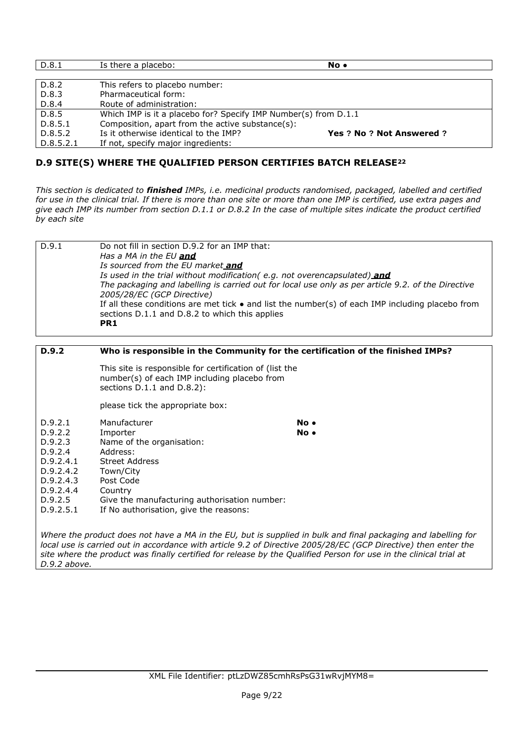| D.8.1     | Is there a placebo:                                             | No.                       |  |  |
|-----------|-----------------------------------------------------------------|---------------------------|--|--|
|           |                                                                 |                           |  |  |
| D.8.2     | This refers to placebo number:                                  |                           |  |  |
| D.8.3     | Pharmaceutical form:                                            |                           |  |  |
| D.8.4     | Route of administration:                                        |                           |  |  |
| D.8.5     | Which IMP is it a placebo for? Specify IMP Number(s) from D.1.1 |                           |  |  |
| D.8.5.1   | Composition, apart from the active substance(s):                |                           |  |  |
| D.8.5.2   | Is it otherwise identical to the IMP?                           | Yes ? No ? Not Answered ? |  |  |
| D.8.5.2.1 | If not, specify major ingredients:                              |                           |  |  |

## **D.9 SITE(S) WHERE THE QUALIFIED PERSON CERTIFIES BATCH RELEASE<sup>22</sup>**

*This section is dedicated to finished IMPs, i.e. medicinal products randomised, packaged, labelled and certified for use in the clinical trial. If there is more than one site or more than one IMP is certified, use extra pages and give each IMP its number from section D.1.1 or D.8.2 In the case of multiple sites indicate the product certified by each site*

| D.9.1 | Do not fill in section D.9.2 for an IMP that:                                                            |
|-------|----------------------------------------------------------------------------------------------------------|
|       | Has a MA in the EU <b>and</b>                                                                            |
|       | Is sourced from the EU market and                                                                        |
|       | Is used in the trial without modification (e.g. not overencapsulated) and                                |
|       | The packaging and labelling is carried out for local use only as per article 9.2, of the Directive       |
|       | 2005/28/EC (GCP Directive)                                                                               |
|       | If all these conditions are met tick $\bullet$ and list the number(s) of each IMP including placebo from |
|       | sections D.1.1 and D.8.2 to which this applies                                                           |
|       | PR <sub>1</sub>                                                                                          |
|       |                                                                                                          |

#### **D.9.2 Who is responsible in the Community for the certification of the finished IMPs?**

This site is responsible for certification of (list the number(s) of each IMP including placebo from sections D.1.1 and D.8.2):

please tick the appropriate box:

| D.9.2.1 | Manufacturer | No • |
|---------|--------------|------|
| D.9.2.2 | Importer     | No • |

| D.9.2.3   | Name of the organisation:                    |
|-----------|----------------------------------------------|
| D.9.2.4   | Address:                                     |
| D.9.2.4.1 | <b>Street Address</b>                        |
| D.9.2.4.2 | Town/City                                    |
| D.9.2.4.3 | Post Code                                    |
| D.9.2.4.4 | Country                                      |
| D.9.2.5   | Give the manufacturing authorisation number: |
| D.9.2.5.1 | If No authorisation, give the reasons:       |

*Where the product does not have a MA in the EU, but is supplied in bulk and final packaging and labelling for local use is carried out in accordance with article 9.2 of Directive 2005/28/EC (GCP Directive) then enter the site where the product was finally certified for release by the Qualified Person for use in the clinical trial at D.9.2 above.*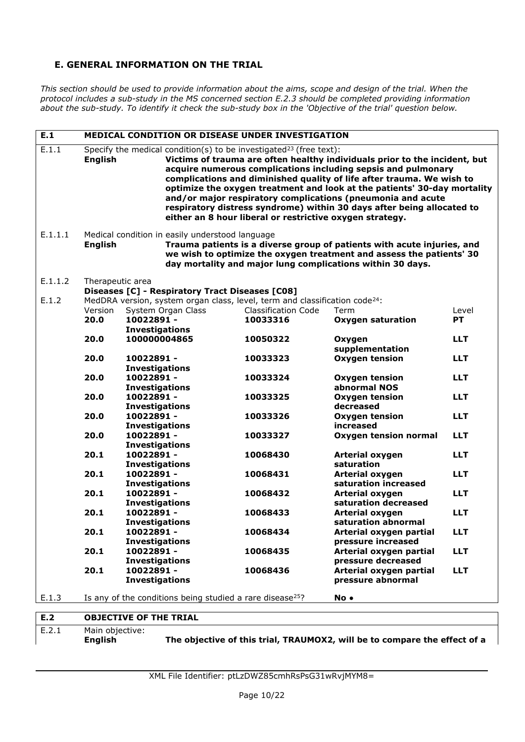## **E. GENERAL INFORMATION ON THE TRIAL**

*This section should be used to provide information about the aims, scope and design of the trial. When the protocol includes a sub-study in the MS concerned section E.2.3 should be completed providing information about the sub-study. To identify it check the sub-study box in the 'Objective of the trial' question below.*

| E.1     | <b>MEDICAL CONDITION OR DISEASE UNDER INVESTIGATION</b>                                                                                                                                                                                                                            |                       |                                                 |                                                                                                                                            |                                                                                                                                                                                                                                                                                                                                                                                                                                           |            |
|---------|------------------------------------------------------------------------------------------------------------------------------------------------------------------------------------------------------------------------------------------------------------------------------------|-----------------------|-------------------------------------------------|--------------------------------------------------------------------------------------------------------------------------------------------|-------------------------------------------------------------------------------------------------------------------------------------------------------------------------------------------------------------------------------------------------------------------------------------------------------------------------------------------------------------------------------------------------------------------------------------------|------------|
| E.1.1   | <b>English</b>                                                                                                                                                                                                                                                                     |                       |                                                 | Specify the medical condition(s) to be investigated <sup>23</sup> (free text):<br>either an 8 hour liberal or restrictive oxygen strategy. | Victims of trauma are often healthy individuals prior to the incident, but<br>acquire numerous complications including sepsis and pulmonary<br>complications and diminished quality of life after trauma. We wish to<br>optimize the oxygen treatment and look at the patients' 30-day mortality<br>and/or major respiratory complications (pneumonia and acute<br>respiratory distress syndrome) within 30 days after being allocated to |            |
| E.1.1.1 | Medical condition in easily understood language<br>Trauma patients is a diverse group of patients with acute injuries, and<br><b>English</b><br>we wish to optimize the oxygen treatment and assess the patients' 30<br>day mortality and major lung complications within 30 days. |                       |                                                 |                                                                                                                                            |                                                                                                                                                                                                                                                                                                                                                                                                                                           |            |
| E.1.1.2 | Therapeutic area                                                                                                                                                                                                                                                                   |                       |                                                 |                                                                                                                                            |                                                                                                                                                                                                                                                                                                                                                                                                                                           |            |
|         |                                                                                                                                                                                                                                                                                    |                       | Diseases [C] - Respiratory Tract Diseases [C08] |                                                                                                                                            |                                                                                                                                                                                                                                                                                                                                                                                                                                           |            |
| E.1.2   |                                                                                                                                                                                                                                                                                    |                       |                                                 | MedDRA version, system organ class, level, term and classification code <sup>24</sup> :                                                    |                                                                                                                                                                                                                                                                                                                                                                                                                                           |            |
|         | Version                                                                                                                                                                                                                                                                            |                       | System Organ Class                              | <b>Classification Code</b>                                                                                                                 | Term                                                                                                                                                                                                                                                                                                                                                                                                                                      | Level      |
|         | 20.0                                                                                                                                                                                                                                                                               | 10022891 -            |                                                 | 10033316                                                                                                                                   | <b>Oxygen saturation</b>                                                                                                                                                                                                                                                                                                                                                                                                                  | <b>PT</b>  |
|         |                                                                                                                                                                                                                                                                                    | <b>Investigations</b> |                                                 |                                                                                                                                            |                                                                                                                                                                                                                                                                                                                                                                                                                                           |            |
|         | 20.0                                                                                                                                                                                                                                                                               | 100000004865          |                                                 | 10050322                                                                                                                                   | Oxygen                                                                                                                                                                                                                                                                                                                                                                                                                                    | <b>LLT</b> |
|         |                                                                                                                                                                                                                                                                                    |                       |                                                 |                                                                                                                                            | supplementation                                                                                                                                                                                                                                                                                                                                                                                                                           |            |
|         | 20.0                                                                                                                                                                                                                                                                               | 10022891 -            |                                                 | 10033323                                                                                                                                   | <b>Oxygen tension</b>                                                                                                                                                                                                                                                                                                                                                                                                                     | <b>LLT</b> |
|         |                                                                                                                                                                                                                                                                                    | <b>Investigations</b> |                                                 |                                                                                                                                            |                                                                                                                                                                                                                                                                                                                                                                                                                                           |            |
|         | 20.0                                                                                                                                                                                                                                                                               | 10022891 -            |                                                 | 10033324                                                                                                                                   | Oxygen tension                                                                                                                                                                                                                                                                                                                                                                                                                            | <b>LLT</b> |
|         |                                                                                                                                                                                                                                                                                    | <b>Investigations</b> |                                                 |                                                                                                                                            | abnormal NOS                                                                                                                                                                                                                                                                                                                                                                                                                              |            |
|         | 20.0                                                                                                                                                                                                                                                                               | 10022891 -            |                                                 | 10033325                                                                                                                                   | <b>Oxygen tension</b>                                                                                                                                                                                                                                                                                                                                                                                                                     | <b>LLT</b> |
|         |                                                                                                                                                                                                                                                                                    | <b>Investigations</b> |                                                 |                                                                                                                                            | decreased                                                                                                                                                                                                                                                                                                                                                                                                                                 |            |
|         | 20.0                                                                                                                                                                                                                                                                               | 10022891 -            |                                                 | 10033326                                                                                                                                   | <b>Oxygen tension</b>                                                                                                                                                                                                                                                                                                                                                                                                                     | <b>LLT</b> |
|         |                                                                                                                                                                                                                                                                                    | <b>Investigations</b> |                                                 |                                                                                                                                            | increased                                                                                                                                                                                                                                                                                                                                                                                                                                 |            |
|         | 20.0                                                                                                                                                                                                                                                                               | 10022891 -            |                                                 | 10033327                                                                                                                                   | <b>Oxygen tension normal</b>                                                                                                                                                                                                                                                                                                                                                                                                              | <b>LLT</b> |
|         |                                                                                                                                                                                                                                                                                    | <b>Investigations</b> |                                                 |                                                                                                                                            |                                                                                                                                                                                                                                                                                                                                                                                                                                           |            |
|         | 20.1                                                                                                                                                                                                                                                                               | 10022891 -            |                                                 | 10068430                                                                                                                                   | Arterial oxygen                                                                                                                                                                                                                                                                                                                                                                                                                           | <b>LLT</b> |
|         |                                                                                                                                                                                                                                                                                    | <b>Investigations</b> |                                                 |                                                                                                                                            | saturation                                                                                                                                                                                                                                                                                                                                                                                                                                |            |
|         | 20.1                                                                                                                                                                                                                                                                               | 10022891 -            |                                                 | 10068431                                                                                                                                   | <b>Arterial oxygen</b>                                                                                                                                                                                                                                                                                                                                                                                                                    | <b>LLT</b> |
|         |                                                                                                                                                                                                                                                                                    | <b>Investigations</b> |                                                 |                                                                                                                                            | saturation increased                                                                                                                                                                                                                                                                                                                                                                                                                      |            |
|         | 20.1                                                                                                                                                                                                                                                                               | 10022891 -            |                                                 | 10068432                                                                                                                                   | <b>Arterial oxygen</b>                                                                                                                                                                                                                                                                                                                                                                                                                    | <b>LLT</b> |
|         |                                                                                                                                                                                                                                                                                    | <b>Investigations</b> |                                                 |                                                                                                                                            | saturation decreased                                                                                                                                                                                                                                                                                                                                                                                                                      |            |
|         | 20.1                                                                                                                                                                                                                                                                               | 10022891 -            |                                                 | 10068433                                                                                                                                   | <b>Arterial oxygen</b>                                                                                                                                                                                                                                                                                                                                                                                                                    | <b>LLT</b> |
|         |                                                                                                                                                                                                                                                                                    | <b>Investigations</b> |                                                 |                                                                                                                                            | saturation abnormal                                                                                                                                                                                                                                                                                                                                                                                                                       |            |
|         | 20.1                                                                                                                                                                                                                                                                               | 10022891 -            |                                                 | 10068434                                                                                                                                   | Arterial oxygen partial                                                                                                                                                                                                                                                                                                                                                                                                                   | <b>LLT</b> |
|         |                                                                                                                                                                                                                                                                                    | <b>Investigations</b> |                                                 |                                                                                                                                            | pressure increased                                                                                                                                                                                                                                                                                                                                                                                                                        |            |
|         | 20.1                                                                                                                                                                                                                                                                               | 10022891 -            |                                                 | 10068435                                                                                                                                   | Arterial oxygen partial                                                                                                                                                                                                                                                                                                                                                                                                                   | <b>LLT</b> |
|         |                                                                                                                                                                                                                                                                                    | <b>Investigations</b> |                                                 |                                                                                                                                            | pressure decreased                                                                                                                                                                                                                                                                                                                                                                                                                        |            |
|         | 20.1                                                                                                                                                                                                                                                                               | 10022891 -            |                                                 | 10068436                                                                                                                                   | Arterial oxygen partial                                                                                                                                                                                                                                                                                                                                                                                                                   | <b>LLT</b> |
|         |                                                                                                                                                                                                                                                                                    | <b>Investigations</b> |                                                 |                                                                                                                                            | pressure abnormal                                                                                                                                                                                                                                                                                                                                                                                                                         |            |
|         |                                                                                                                                                                                                                                                                                    |                       |                                                 |                                                                                                                                            |                                                                                                                                                                                                                                                                                                                                                                                                                                           |            |
| E.1.3   | Is any of the conditions being studied a rare disease <sup>25</sup> ?<br>No.                                                                                                                                                                                                       |                       |                                                 |                                                                                                                                            |                                                                                                                                                                                                                                                                                                                                                                                                                                           |            |
|         |                                                                                                                                                                                                                                                                                    |                       |                                                 |                                                                                                                                            |                                                                                                                                                                                                                                                                                                                                                                                                                                           |            |
| E.2     | <b>OBJECTIVE OF THE TRIAL</b>                                                                                                                                                                                                                                                      |                       |                                                 |                                                                                                                                            |                                                                                                                                                                                                                                                                                                                                                                                                                                           |            |

E.2.1 Main objective:

**English The objective of this trial, TRAUMOX2, will be to compare the effect of a**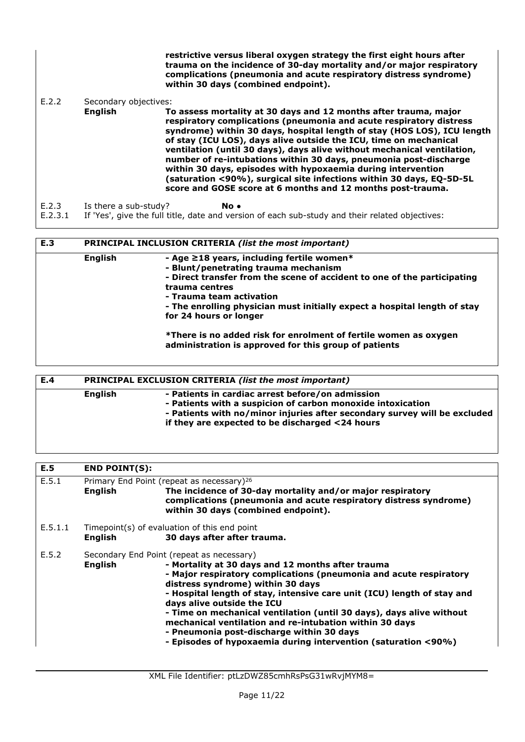**restrictive versus liberal oxygen strategy the first eight hours after trauma on the incidence of 30-day mortality and/or major respiratory complications (pneumonia and acute respiratory distress syndrome) within 30 days (combined endpoint).** 

#### E.2.2 Secondary objectives:

**English To assess mortality at 30 days and 12 months after trauma, major respiratory complications (pneumonia and acute respiratory distress syndrome) within 30 days, hospital length of stay (HOS LOS), ICU length of stay (ICU LOS), days alive outside the ICU, time on mechanical ventilation (until 30 days), days alive without mechanical ventilation, number of re-intubations within 30 days, pneumonia post-discharge within 30 days, episodes with hypoxaemia during intervention (saturation <90%), surgical site infections within 30 days, EQ-5D-5L score and GOSE score at 6 months and 12 months post-trauma.** 

E.2.3 Is there a sub-study? **No ●**

E.2.3.1 If 'Yes', give the full title, date and version of each sub-study and their related objectives:

| E.3 | PRINCIPAL INCLUSION CRITERIA (list the most important) |                                                                                                                                                                                                                                                                                                                                                                                                                                                       |  |
|-----|--------------------------------------------------------|-------------------------------------------------------------------------------------------------------------------------------------------------------------------------------------------------------------------------------------------------------------------------------------------------------------------------------------------------------------------------------------------------------------------------------------------------------|--|
|     | English                                                | - Age $\geq$ 18 years, including fertile women*<br>- Blunt/penetrating trauma mechanism<br>- Direct transfer from the scene of accident to one of the participating<br>trauma centres<br>- Trauma team activation<br>- The enrolling physician must initially expect a hospital length of stay<br>for 24 hours or longer<br>*There is no added risk for enrolment of fertile women as oxygen<br>administration is approved for this group of patients |  |

| E.4 |         | PRINCIPAL EXCLUSION CRITERIA (list the most important)                                                                                                                                                                                          |  |  |
|-----|---------|-------------------------------------------------------------------------------------------------------------------------------------------------------------------------------------------------------------------------------------------------|--|--|
|     | English | - Patients in cardiac arrest before/on admission<br>- Patients with a suspicion of carbon monoxide intoxication<br>- Patients with no/minor injuries after secondary survey will be excluded<br>if they are expected to be discharged <24 hours |  |  |
|     |         |                                                                                                                                                                                                                                                 |  |  |

| E.5     | <b>END POINT(S):</b> |                                                                                                                                                                                                                                                                                                                                                                                                                                                                                                                                                                      |
|---------|----------------------|----------------------------------------------------------------------------------------------------------------------------------------------------------------------------------------------------------------------------------------------------------------------------------------------------------------------------------------------------------------------------------------------------------------------------------------------------------------------------------------------------------------------------------------------------------------------|
| E.5.1   | <b>English</b>       | Primary End Point (repeat as necessary) <sup>26</sup><br>The incidence of 30-day mortality and/or major respiratory<br>complications (pneumonia and acute respiratory distress syndrome)<br>within 30 days (combined endpoint).                                                                                                                                                                                                                                                                                                                                      |
| E.5.1.1 | <b>English</b>       | Timepoint(s) of evaluation of this end point<br>30 days after after trauma.                                                                                                                                                                                                                                                                                                                                                                                                                                                                                          |
| E.5.2   | English              | Secondary End Point (repeat as necessary)<br>- Mortality at 30 days and 12 months after trauma<br>- Major respiratory complications (pneumonia and acute respiratory<br>distress syndrome) within 30 days<br>- Hospital length of stay, intensive care unit (ICU) length of stay and<br>days alive outside the ICU<br>- Time on mechanical ventilation (until 30 days), days alive without<br>mechanical ventilation and re-intubation within 30 days<br>- Pneumonia post-discharge within 30 days<br>- Episodes of hypoxaemia during intervention (saturation <90%) |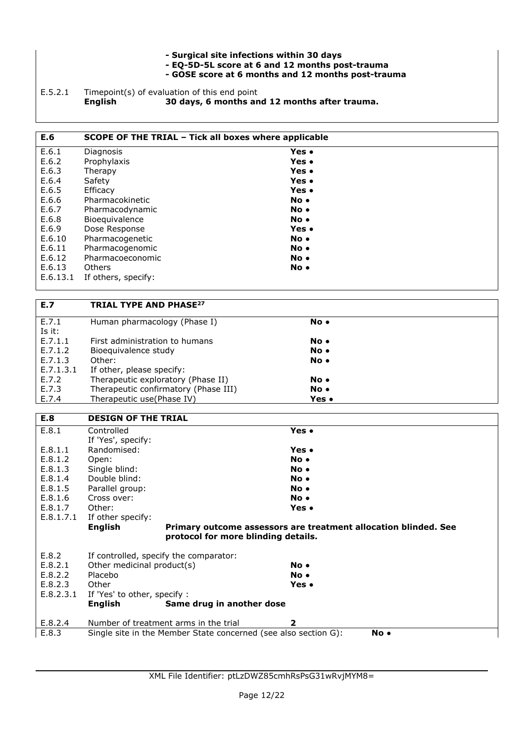- **Surgical site infections within 30 days**
- **EQ-5D-5L score at 6 and 12 months post-trauma**
- **GOSE score at 6 months and 12 months post-trauma**

E.5.2.1 Timepoint(s) of evaluation of this end point<br>**English 30 days, 6 months an English 30 days, 6 months and 12 months after trauma.** 

| E.6      | SCOPE OF THE TRIAL - Tick all boxes where applicable |              |
|----------|------------------------------------------------------|--------------|
| E.6.1    | Diagnosis                                            | Yes •        |
| E.6.2    | Prophylaxis                                          | Yes •        |
| E.6.3    | Therapy                                              | Yes •        |
| E.6.4    | Safety                                               | Yes •        |
| E.6.5    | Efficacy                                             | Yes •        |
| E.6.6    | Pharmacokinetic                                      | $No \bullet$ |
| E.6.7    | Pharmacodynamic                                      | $No \bullet$ |
| E.6.8    | Bioequivalence                                       | No •         |
| E.6.9    | Dose Response                                        | Yes •        |
| E.6.10   | Pharmacogenetic                                      | $No \bullet$ |
| E.6.11   | Pharmacogenomic                                      | $No \bullet$ |
| E.6.12   | Pharmacoeconomic                                     | $No \bullet$ |
| E.6.13   | <b>Others</b>                                        | No.          |
| E.6.13.1 | If others, specify:                                  |              |

| E.7       | <b>TRIAL TYPE AND PHASE27</b>        |       |  |
|-----------|--------------------------------------|-------|--|
| E.7.1     | Human pharmacology (Phase I)         | No •  |  |
| Is it:    |                                      |       |  |
| E.7.1.1   | First administration to humans       | No •  |  |
| E.7.1.2   | Bioeguivalence study                 | No •  |  |
| E.7.1.3   | Other:                               | No •  |  |
| E.7.1.3.1 | If other, please specify:            |       |  |
| E.7.2     | Therapeutic exploratory (Phase II)   | No •  |  |
| E.7.3     | Therapeutic confirmatory (Phase III) | No •  |  |
| E.7.4     | Therapeutic use (Phase IV)           | Yes • |  |

| E.8       | <b>DESIGN OF THE TRIAL</b>                                      |                                                                 |
|-----------|-----------------------------------------------------------------|-----------------------------------------------------------------|
| E.8.1     | Controlled                                                      | Yes •                                                           |
|           | If 'Yes', specify:                                              |                                                                 |
| E.8.1.1   | Randomised:                                                     | Yes •                                                           |
| E.8.1.2   | Open:                                                           | No.                                                             |
| E.8.1.3   | Single blind:                                                   | No.                                                             |
| E.8.1.4   | Double blind:                                                   | No.                                                             |
| E.8.1.5   | Parallel group:                                                 | No.                                                             |
| E.8.1.6   | Cross over:                                                     | No.                                                             |
| E.8.1.7   | Other:                                                          | Yes •                                                           |
| E.8.1.7.1 | If other specify:                                               |                                                                 |
|           | <b>English</b>                                                  | Primary outcome assessors are treatment allocation blinded. See |
|           | protocol for more blinding details.                             |                                                                 |
| E.8.2     | If controlled, specify the comparator:                          |                                                                 |
| E.8.2.1   | Other medicinal product(s)                                      | No •                                                            |
| E.8.2.2   | Placebo                                                         | No.                                                             |
| E.8.2.3   | Other                                                           | Yes •                                                           |
| E.8.2.3.1 | If 'Yes' to other, specify :                                    |                                                                 |
|           | Same drug in another dose<br>English                            |                                                                 |
| E.8.2.4   | Number of treatment arms in the trial                           | 2                                                               |
| E.8.3     | Single site in the Member State concerned (see also section G): | No.                                                             |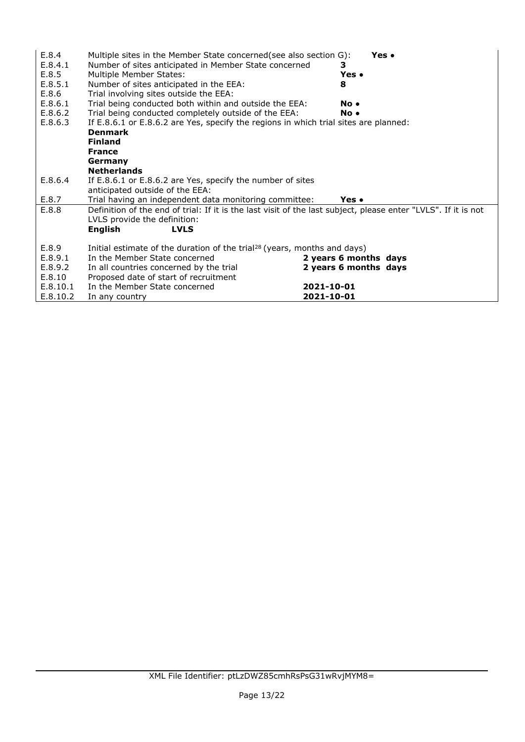| E.8.4<br>E.8.4.1<br>E.8.5<br>E.8.5.1<br>E.8.6 | Multiple sites in the Member State concerned (see also section G):<br>Number of sites anticipated in Member State concerned<br>Multiple Member States:<br>Number of sites anticipated in the EEA:<br>Trial involving sites outside the EEA: | з.<br>Yes •<br>8         | Yes • |
|-----------------------------------------------|---------------------------------------------------------------------------------------------------------------------------------------------------------------------------------------------------------------------------------------------|--------------------------|-------|
| E.8.6.1                                       | Trial being conducted both within and outside the EEA:                                                                                                                                                                                      | No.                      |       |
| E.8.6.2                                       | Trial being conducted completely outside of the EEA:                                                                                                                                                                                        | No.                      |       |
| E.8.6.3                                       | If E.8.6.1 or E.8.6.2 are Yes, specify the regions in which trial sites are planned:<br><b>Denmark</b>                                                                                                                                      |                          |       |
|                                               | <b>Finland</b>                                                                                                                                                                                                                              |                          |       |
|                                               | <b>France</b>                                                                                                                                                                                                                               |                          |       |
|                                               | Germany                                                                                                                                                                                                                                     |                          |       |
|                                               | <b>Netherlands</b>                                                                                                                                                                                                                          |                          |       |
| E.8.6.4                                       | If E.8.6.1 or E.8.6.2 are Yes, specify the number of sites                                                                                                                                                                                  |                          |       |
|                                               | anticipated outside of the EEA:                                                                                                                                                                                                             |                          |       |
| E.8.7                                         | Trial having an independent data monitoring committee:                                                                                                                                                                                      | Yes •                    |       |
| E.8.8                                         | Definition of the end of trial: If it is the last visit of the last subject, please enter "LVLS". If it is not<br>LVLS provide the definition:                                                                                              |                          |       |
|                                               | <b>English</b><br><b>LVLS</b>                                                                                                                                                                                                               |                          |       |
| E.8.9                                         | Initial estimate of the duration of the trial <sup>28</sup> (years, months and days)                                                                                                                                                        |                          |       |
| E.8.9.1                                       | In the Member State concerned                                                                                                                                                                                                               | 2 years 6 months days    |       |
| E.8.9.2                                       | In all countries concerned by the trial                                                                                                                                                                                                     | 2 years 6 months days    |       |
| E.8.10                                        | Proposed date of start of recruitment                                                                                                                                                                                                       |                          |       |
| E.8.10.1<br>E.8.10.2                          | In the Member State concerned                                                                                                                                                                                                               | 2021-10-01<br>2021-10-01 |       |
|                                               | In any country                                                                                                                                                                                                                              |                          |       |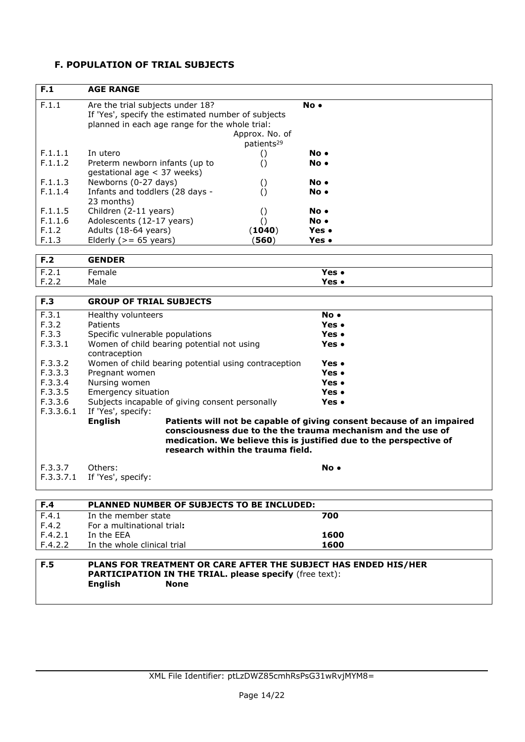## **F. POPULATION OF TRIAL SUBJECTS**

| F.1       | <b>AGE RANGE</b>                                                |                                                                       |
|-----------|-----------------------------------------------------------------|-----------------------------------------------------------------------|
| F.1.1     | Are the trial subjects under 18?                                | No.                                                                   |
|           | If 'Yes', specify the estimated number of subjects              |                                                                       |
|           | planned in each age range for the whole trial:                  |                                                                       |
|           | Approx. No. of                                                  |                                                                       |
|           | patients <sup>29</sup>                                          |                                                                       |
| F.1.1.1   | In utero<br>$\left( \right)$                                    | No .                                                                  |
| F.1.1.2   | Preterm newborn infants (up to<br>$\left( \right)$              | No.                                                                   |
|           | gestational age < 37 weeks)                                     |                                                                       |
| F.1.1.3   | Newborns (0-27 days)<br>$\left( \right)$                        | No.                                                                   |
| F.1.1.4   | Infants and toddlers (28 days -<br>$\left( \right)$             | No.                                                                   |
|           | 23 months)                                                      |                                                                       |
| F.1.1.5   | Children (2-11 years)<br>$\left( \right)$                       | No .                                                                  |
| F.1.1.6   | Adolescents (12-17 years)<br>$\left( \right)$                   | No .                                                                  |
| F.1.2     | (1040)<br>Adults (18-64 years)                                  | Yes •                                                                 |
| F.1.3     | Elderly ( $> = 65$ years)<br>(560)                              | Yes •                                                                 |
| F.2       | <b>GENDER</b>                                                   |                                                                       |
| F.2.1     | Female                                                          | Yes $\bullet$                                                         |
| F.2.2     | Male                                                            | Yes •                                                                 |
|           |                                                                 |                                                                       |
| F.3       | <b>GROUP OF TRIAL SUBJECTS</b>                                  |                                                                       |
| F.3.1     | Healthy volunteers                                              | No.                                                                   |
| F.3.2     | Patients                                                        | Yes .                                                                 |
| F.3.3     | Specific vulnerable populations                                 | Yes •                                                                 |
| F.3.3.1   | Women of child bearing potential not using<br>contraception     | Yes •                                                                 |
| F.3.3.2   | Women of child bearing potential using contraception            | Yes •                                                                 |
| F.3.3.3   | Pregnant women                                                  | Yes .                                                                 |
| F.3.3.4   | Nursing women                                                   | Yes .                                                                 |
| F.3.3.5   | Emergency situation                                             | Yes •                                                                 |
| F.3.3.6   | Subjects incapable of giving consent personally                 | Yes •                                                                 |
| F.3.3.6.1 | If 'Yes', specify:                                              |                                                                       |
|           | <b>English</b>                                                  | Patients will not be capable of giving consent because of an impaired |
|           |                                                                 | consciousness due to the the trauma mechanism and the use of          |
|           |                                                                 | medication. We believe this is justified due to the perspective of    |
|           | research within the trauma field.                               |                                                                       |
| F.3.3.7   | Others:                                                         | No.                                                                   |
| F.3.3.7.1 | If 'Yes', specify:                                              |                                                                       |
|           |                                                                 |                                                                       |
| F.4       | PLANNED NUMBER OF SUBJECTS TO BE INCLUDED:                      |                                                                       |
| F.4.1     | In the member state                                             | 700                                                                   |
| F.4.2     | For a multinational trial:                                      |                                                                       |
| F.4.2.1   | In the EEA                                                      | 1600                                                                  |
| F.4.2.2   | In the whole clinical trial                                     | 1600                                                                  |
| F.5       | PLANS FOR TREATMENT OR CARE AFTER THE SUBJECT HAS ENDED HIS/HER |                                                                       |
|           | <b>PARTICIPATION IN THE TRIAL. please specify (free text):</b>  |                                                                       |
|           | <b>English</b><br><b>None</b>                                   |                                                                       |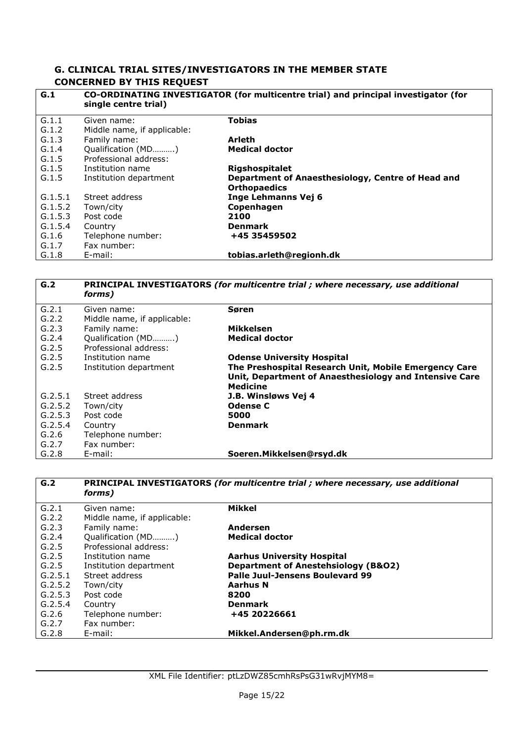#### **G. CLINICAL TRIAL SITES/INVESTIGATORS IN THE MEMBER STATE CONCERNED BY THIS REQUEST**

| G.1     | CO-ORDINATING INVESTIGATOR (for multicentre trial) and principal investigator (for<br>single centre trial) |                                                                          |  |
|---------|------------------------------------------------------------------------------------------------------------|--------------------------------------------------------------------------|--|
| G.1.1   | Given name:                                                                                                | <b>Tobias</b>                                                            |  |
| G.1.2   | Middle name, if applicable:                                                                                |                                                                          |  |
| G.1.3   | Family name:                                                                                               | <b>Arleth</b>                                                            |  |
| G.1.4   | Qualification (MD)                                                                                         | <b>Medical doctor</b>                                                    |  |
| G.1.5   | Professional address:                                                                                      |                                                                          |  |
| G.1.5   | Institution name                                                                                           | <b>Rigshospitalet</b>                                                    |  |
| G.1.5   | Institution department                                                                                     | Department of Anaesthesiology, Centre of Head and<br><b>Orthopaedics</b> |  |
| G.1.5.1 | Street address                                                                                             | Inge Lehmanns Vej 6                                                      |  |
| G.1.5.2 | Town/city                                                                                                  | Copenhagen                                                               |  |
| G.1.5.3 | Post code                                                                                                  | 2100                                                                     |  |
| G.1.5.4 | Country                                                                                                    | <b>Denmark</b>                                                           |  |
| G.1.6   | Telephone number:                                                                                          | +45 35459502                                                             |  |
| G.1.7   | Fax number:                                                                                                |                                                                          |  |
| G.1.8   | E-mail:                                                                                                    | tobias.arleth@regionh.dk                                                 |  |

| G.2     | <b>PRINCIPAL INVESTIGATORS (for multicentre trial ; where necessary, use additional</b><br>forms) |                                                        |  |
|---------|---------------------------------------------------------------------------------------------------|--------------------------------------------------------|--|
| G.2.1   | Given name:                                                                                       | Søren                                                  |  |
| G.2.2   | Middle name, if applicable:                                                                       |                                                        |  |
| G.2.3   | Family name:                                                                                      | Mikkelsen                                              |  |
| G.2.4   | Qualification (MD)                                                                                | <b>Medical doctor</b>                                  |  |
| G.2.5   | Professional address:                                                                             |                                                        |  |
| G.2.5   | Institution name                                                                                  | <b>Odense University Hospital</b>                      |  |
| G.2.5   | Institution department                                                                            | The Preshospital Research Unit, Mobile Emergency Care  |  |
|         |                                                                                                   | Unit, Department of Anaesthesiology and Intensive Care |  |
|         |                                                                                                   | <b>Medicine</b>                                        |  |
| G.2.5.1 | Street address                                                                                    | J.B. Winsløws Vej 4                                    |  |
| G.2.5.2 | Town/city                                                                                         | <b>Odense C</b>                                        |  |
| G.2.5.3 | Post code                                                                                         | 5000                                                   |  |
| G.2.5.4 | Country                                                                                           | <b>Denmark</b>                                         |  |
| G.2.6   | Telephone number:                                                                                 |                                                        |  |
| G.2.7   | Fax number:                                                                                       |                                                        |  |
| G.2.8   | E-mail:                                                                                           | Soeren.Mikkelsen@rsyd.dk                               |  |

| G.2     | PRINCIPAL INVESTIGATORS (for multicentre trial ; where necessary, use additional<br>forms) |                                                |  |
|---------|--------------------------------------------------------------------------------------------|------------------------------------------------|--|
| G.2.1   | Given name:                                                                                | Mikkel                                         |  |
| G.2.2   | Middle name, if applicable:                                                                |                                                |  |
| G.2.3   | Family name:                                                                               | Andersen                                       |  |
| G.2.4   | Qualification (MD)                                                                         | <b>Medical doctor</b>                          |  |
| G.2.5   | Professional address:                                                                      |                                                |  |
| G.2.5   | Institution name                                                                           | <b>Aarhus University Hospital</b>              |  |
| G.2.5   | Institution department                                                                     | <b>Department of Anestehsiology (B&amp;O2)</b> |  |
| G.2.5.1 | Street address                                                                             | Palle Juul-Jensens Boulevard 99                |  |
| G.2.5.2 | Town/city                                                                                  | Aarhus N                                       |  |
| G.2.5.3 | Post code                                                                                  | 8200                                           |  |
| G.2.5.4 | Country                                                                                    | <b>Denmark</b>                                 |  |
| G.2.6   | Telephone number:                                                                          | +45 20226661                                   |  |
| G.2.7   | Fax number:                                                                                |                                                |  |
| G.2.8   | E-mail:                                                                                    | Mikkel.Andersen@ph.rm.dk                       |  |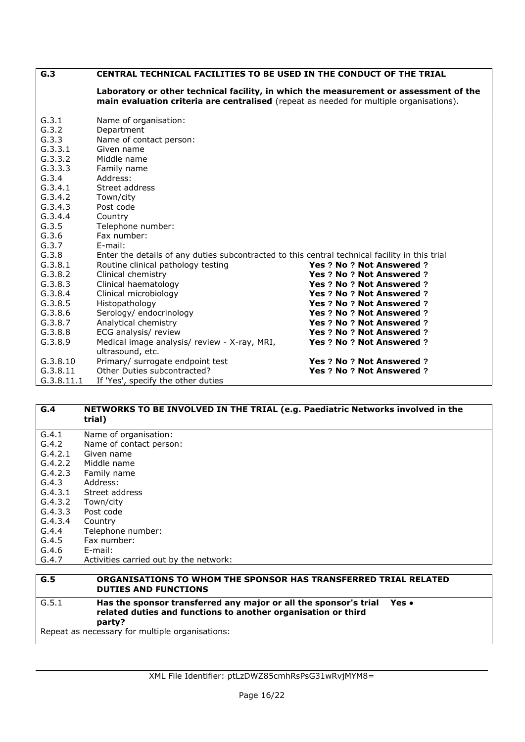| G.3        | CENTRAL TECHNICAL FACILITIES TO BE USED IN THE CONDUCT OF THE TRIAL                                                                                                              |                                  |  |
|------------|----------------------------------------------------------------------------------------------------------------------------------------------------------------------------------|----------------------------------|--|
|            | Laboratory or other technical facility, in which the measurement or assessment of the<br>main evaluation criteria are centralised (repeat as needed for multiple organisations). |                                  |  |
| G.3.1      | Name of organisation:                                                                                                                                                            |                                  |  |
| G.3.2      | Department                                                                                                                                                                       |                                  |  |
| G.3.3      | Name of contact person:                                                                                                                                                          |                                  |  |
| G.3.3.1    | Given name                                                                                                                                                                       |                                  |  |
| G.3.3.2    | Middle name                                                                                                                                                                      |                                  |  |
| G.3.3.3    | Family name                                                                                                                                                                      |                                  |  |
| G.3.4      | Address:                                                                                                                                                                         |                                  |  |
| G.3.4.1    | Street address                                                                                                                                                                   |                                  |  |
| G.3.4.2    | Town/city                                                                                                                                                                        |                                  |  |
| G.3.4.3    | Post code                                                                                                                                                                        |                                  |  |
| G.3.4.4    | Country                                                                                                                                                                          |                                  |  |
| G.3.5      | Telephone number:                                                                                                                                                                |                                  |  |
| G.3.6      | Fax number:                                                                                                                                                                      |                                  |  |
| G.3.7      | E-mail:                                                                                                                                                                          |                                  |  |
| G.3.8      | Enter the details of any duties subcontracted to this central technical facility in this trial                                                                                   |                                  |  |
| G.3.8.1    | Routine clinical pathology testing                                                                                                                                               | Yes ? No ? Not Answered ?        |  |
| G.3.8.2    | Clinical chemistry                                                                                                                                                               | <b>Yes ? No ? Not Answered ?</b> |  |
| G.3.8.3    | Clinical haematology                                                                                                                                                             | <b>Yes ? No ? Not Answered ?</b> |  |
| G.3.8.4    | Clinical microbiology                                                                                                                                                            | Yes ? No ? Not Answered ?        |  |
| G.3.8.5    | Histopathology                                                                                                                                                                   | Yes ? No ? Not Answered ?        |  |
| G.3.8.6    | Serology/ endocrinology                                                                                                                                                          | Yes ? No ? Not Answered ?        |  |
| G.3.8.7    | Analytical chemistry                                                                                                                                                             | Yes ? No ? Not Answered ?        |  |
| G.3.8.8    | ECG analysis/ review                                                                                                                                                             | Yes ? No ? Not Answered ?        |  |
| G.3.8.9    | Medical image analysis/ review - X-ray, MRI,<br>ultrasound, etc.                                                                                                                 | Yes ? No ? Not Answered ?        |  |
| G.3.8.10   | Primary/ surrogate endpoint test                                                                                                                                                 | Yes ? No ? Not Answered ?        |  |
| G.3.8.11   | Other Duties subcontracted?                                                                                                                                                      | <b>Yes ? No ? Not Answered ?</b> |  |
| G.3.8.11.1 | If 'Yes', specify the other duties                                                                                                                                               |                                  |  |

#### **G.4 NETWORKS TO BE INVOLVED IN THE TRIAL (e.g. Paediatric Networks involved in the trial)** G.4.1 Name of organisation: G.4.2 Name of contact person: G.4.2.1 Given name G.4.2.2 Middle name G.4.2.3 Family name G.4.3 Address: G.4.3.1 Street address G.4.3.2 Town/city G.4.3.3 Post code G.4.3.4 Country G.4.4 Telephone number:<br>G.4.5 Fax number: Fax number: G.4.6 E-mail: G.4.7 Activities carried out by the network:

#### **G.5 ORGANISATIONS TO WHOM THE SPONSOR HAS TRANSFERRED TRIAL RELATED DUTIES AND FUNCTIONS** G.5.1 **Has the sponsor transferred any major or all the sponsor's trial related duties and functions to another organisation or third party? Yes ●**

Repeat as necessary for multiple organisations: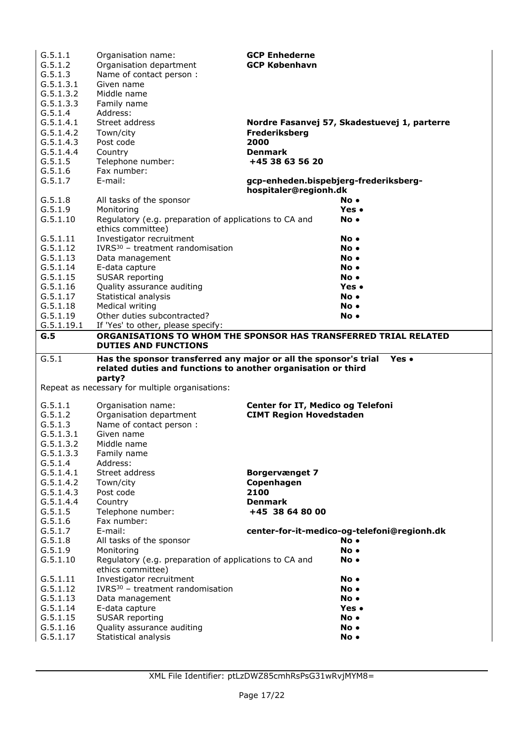| G.5.1.1              | Organisation name:                                               | <b>GCP Enhederne</b>                  |                                              |
|----------------------|------------------------------------------------------------------|---------------------------------------|----------------------------------------------|
| G.5.1.2              | Organisation department                                          | <b>GCP København</b>                  |                                              |
| G.5.1.3              | Name of contact person :                                         |                                       |                                              |
| G.5.1.3.1            | Given name                                                       |                                       |                                              |
| G.5.1.3.2            | Middle name                                                      |                                       |                                              |
| G.5.1.3.3            | Family name                                                      |                                       |                                              |
| G.5.1.4              | Address:                                                         |                                       |                                              |
| G.5.1.4.1            | Street address                                                   |                                       | Nordre Fasanvej 57, Skadestuevej 1, parterre |
| G.5.1.4.2            | Town/city                                                        | Frederiksberg                         |                                              |
| G.5.1.4.3            | Post code                                                        | 2000                                  |                                              |
| G.5.1.4.4            | Country                                                          | <b>Denmark</b>                        |                                              |
| G.5.1.5              | Telephone number:                                                | +45 38 63 56 20                       |                                              |
| G.5.1.6              | Fax number:                                                      |                                       |                                              |
| G.5.1.7              | E-mail:                                                          | gcp-enheden.bispebjerg-frederiksberg- |                                              |
|                      |                                                                  | hospitaler@regionh.dk                 |                                              |
| G.5.1.8              | All tasks of the sponsor                                         |                                       | No •                                         |
| G.5.1.9              | Monitoring                                                       |                                       | Yes •                                        |
| G.5.1.10             | Regulatory (e.g. preparation of applications to CA and           |                                       | No.                                          |
|                      | ethics committee)                                                |                                       |                                              |
| G.5.1.11             | Investigator recruitment                                         |                                       | No.                                          |
| G.5.1.12             | IVRS <sup>30</sup> - treatment randomisation                     |                                       | No.                                          |
| G.5.1.13             | Data management                                                  |                                       | No •                                         |
| G.5.1.14             | E-data capture                                                   |                                       | No.                                          |
| G.5.1.15             | SUSAR reporting                                                  |                                       | No.                                          |
| G.5.1.16             | Quality assurance auditing                                       |                                       | Yes •                                        |
| G.5.1.17             | Statistical analysis                                             |                                       | No •                                         |
| G.5.1.18             | Medical writing                                                  |                                       | No •                                         |
| G.5.1.19             | Other duties subcontracted?                                      |                                       | No •                                         |
| G.5.1.19.1           | If 'Yes' to other, please specify:                               |                                       |                                              |
| G.5                  | ORGANISATIONS TO WHOM THE SPONSOR HAS TRANSFERRED TRIAL RELATED  |                                       |                                              |
|                      | <b>DUTIES AND FUNCTIONS</b>                                      |                                       |                                              |
|                      |                                                                  |                                       |                                              |
|                      |                                                                  |                                       |                                              |
| G.5.1                | Has the sponsor transferred any major or all the sponsor's trial |                                       | Yes •                                        |
|                      | related duties and functions to another organisation or third    |                                       |                                              |
|                      | party?                                                           |                                       |                                              |
|                      | Repeat as necessary for multiple organisations:                  |                                       |                                              |
|                      |                                                                  |                                       |                                              |
| G.5.1.1              | Organisation name:                                               | Center for IT, Medico og Telefoni     |                                              |
| G.5.1.2              | Organisation department                                          | <b>CIMT Region Hovedstaden</b>        |                                              |
| G.5.1.3              | Name of contact person :                                         |                                       |                                              |
| G.5.1.3.1            | Given name                                                       |                                       |                                              |
| G.5.1.3.2            | Middle name                                                      |                                       |                                              |
| G.5.1.3.3            | Family name                                                      |                                       |                                              |
| G.5.1.4              | Address:                                                         |                                       |                                              |
| G.5.1.4.1            | Street address                                                   | <b>Borgervænget 7</b>                 |                                              |
| G.5.1.4.2            | Town/city                                                        | Copenhagen                            |                                              |
| G.5.1.4.3            | Post code                                                        | 2100                                  |                                              |
| G.5.1.4.4            | Country                                                          | <b>Denmark</b>                        |                                              |
| G.5.1.5              | Telephone number:                                                | +45 38 64 80 00                       |                                              |
| G.5.1.6              | Fax number:                                                      |                                       |                                              |
| G.5.1.7              | E-mail:                                                          |                                       | center-for-it-medico-og-telefoni@regionh.dk  |
| G.5.1.8              | All tasks of the sponsor                                         |                                       | No.                                          |
| G.5.1.9              | Monitoring                                                       |                                       | No.                                          |
| G.5.1.10             | Regulatory (e.g. preparation of applications to CA and           |                                       | No •                                         |
|                      | ethics committee)                                                |                                       |                                              |
| G.5.1.11             | Investigator recruitment                                         |                                       | No.                                          |
| G.5.1.12             | IVRS <sup>30</sup> - treatment randomisation                     |                                       | No.                                          |
| G.5.1.13             | Data management                                                  |                                       | No.                                          |
| G.5.1.14             | E-data capture                                                   |                                       | Yes •                                        |
| G.5.1.15             | SUSAR reporting                                                  |                                       | No.                                          |
| G.5.1.16<br>G.5.1.17 | Quality assurance auditing<br>Statistical analysis               |                                       | No.<br>No.                                   |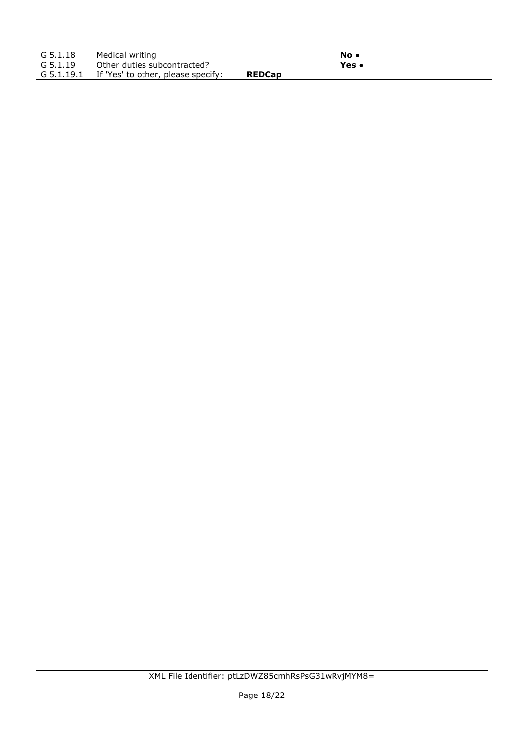| G.5.1.18 | Medical writing                               |               | No •  |  |
|----------|-----------------------------------------------|---------------|-------|--|
| G.5.1.19 | Other duties subcontracted?                   |               | Yes • |  |
|          | G.5.1.19.1 If 'Yes' to other, please specify: | <b>REDCap</b> |       |  |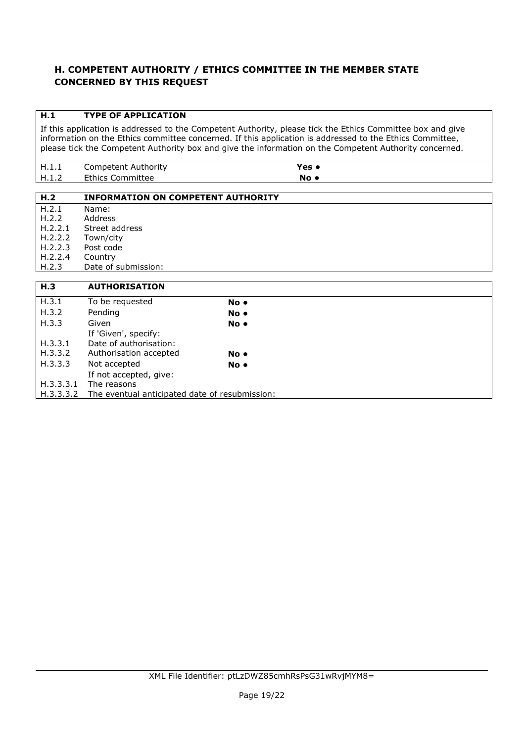## **H. COMPETENT AUTHORITY / ETHICS COMMITTEE IN THE MEMBER STATE CONCERNED BY THIS REQUEST**

## **H.1 TYPE OF APPLICATION**

H.3.3.3.2 The eventual anticipated date of resubmission:

If this application is addressed to the Competent Authority, please tick the Ethics Committee box and give information on the Ethics committee concerned. If this application is addressed to the Ethics Committee, please tick the Competent Authority box and give the information on the Competent Authority concerned.

| н<br>11.L.L                 | Competent Authority     | ′es c |
|-----------------------------|-------------------------|-------|
| <b>LI</b> 1<br>. <i>. .</i> | <b>Ethics Committee</b> | No.   |

| H.2       | <b>INFORMATION ON COMPETENT AUTHORITY</b> |      |
|-----------|-------------------------------------------|------|
| H.2.1     | Name:                                     |      |
| H.2.2     | Address                                   |      |
| H.2.2.1   | Street address                            |      |
| H.2.2.2   | Town/city                                 |      |
| H.2.2.3   | Post code                                 |      |
| H.2.2.4   | Country                                   |      |
| H.2.3     | Date of submission:                       |      |
|           |                                           |      |
| H.3       | <b>AUTHORISATION</b>                      |      |
| H.3.1     | To be requested                           | No • |
| H.3.2     | Pending                                   | No • |
| H.3.3     | Given                                     | No • |
|           | If 'Given', specify:                      |      |
| H.3.3.1   | Date of authorisation:                    |      |
| H.3.3.2   | Authorisation accepted                    | No • |
| H.3.3.3   | Not accepted                              | No • |
|           | If not accepted, give:                    |      |
| H.3.3.3.1 | The reasons                               |      |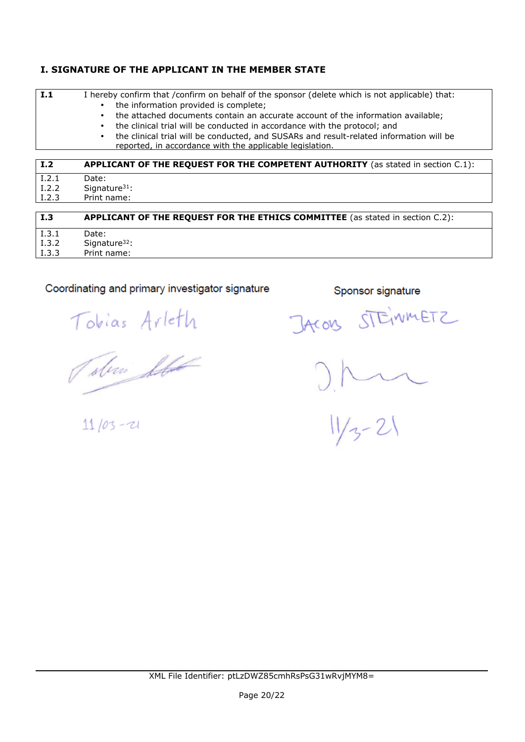## **I. SIGNATURE OF THE APPLICANT IN THE MEMBER STATE**

| I.1                   | I hereby confirm that /confirm on behalf of the sponsor (delete which is not applicable) that:<br>the information provided is complete;<br>$\bullet$<br>the attached documents contain an accurate account of the information available;<br>$\bullet$<br>the clinical trial will be conducted in accordance with the protocol; and<br>$\bullet$ |
|-----------------------|-------------------------------------------------------------------------------------------------------------------------------------------------------------------------------------------------------------------------------------------------------------------------------------------------------------------------------------------------|
|                       | the clinical trial will be conducted, and SUSARs and result-related information will be<br>$\bullet$<br>reported, in accordance with the applicable legislation.                                                                                                                                                                                |
| I.2                   | APPLICANT OF THE REQUEST FOR THE COMPETENT AUTHORITY (as stated in section C.1):                                                                                                                                                                                                                                                                |
| I.2.1<br><b>T 3 3</b> | Date:                                                                                                                                                                                                                                                                                                                                           |

I.2.2 Signature31: I.2.3 Print name:

| I.3   | <b>APPLICANT OF THE REQUEST FOR THE ETHICS COMMITTEE</b> (as stated in section C.2): |  |
|-------|--------------------------------------------------------------------------------------|--|
| I.3.1 | Date:                                                                                |  |
| I.3.2 | Signature <sup>32</sup> :                                                            |  |
| I.3.3 | Print name:                                                                          |  |
|       |                                                                                      |  |

# Coordinating and primary investigator signature

Tobias Arleth

Tobra Sta

 $11/03 - 21$ 

Sponsor signature

JACOUS STEINMETZ

 $21$ <br> $113 - 21$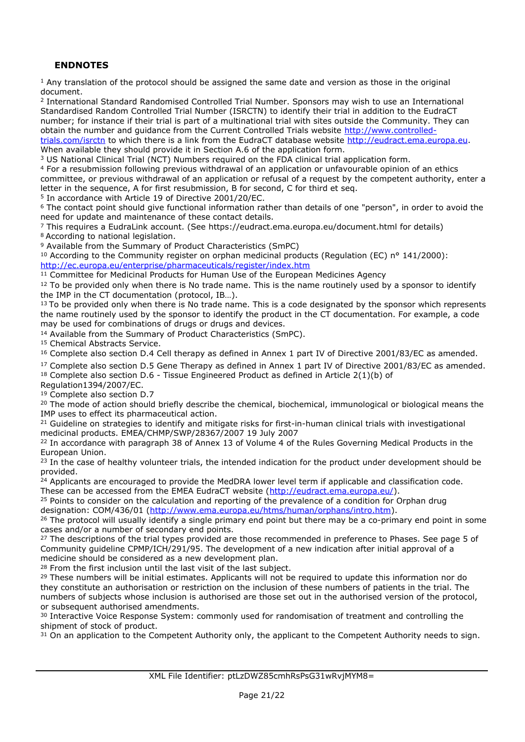## **ENDNOTES**

<sup>1</sup> Any translation of the protocol should be assigned the same date and version as those in the original document.

<sup>2</sup> International Standard Randomised Controlled Trial Number. Sponsors may wish to use an International Standardised Random Controlled Trial Number (ISRCTN) to identify their trial in addition to the EudraCT number; for instance if their trial is part of a multinational trial with sites outside the Community. They can obtain the number and guidance from the Current Controlled Trials website [http://www.controlled-](http://www.controlled-trials.com/isrctn)

[trials.com/isrctn](http://www.controlled-trials.com/isrctn) to which there is a link from the EudraCT database website [http://eudract.ema.europa.eu.](http://eudract.ema.europa.eu) When available they should provide it in Section A.6 of the application form.

<sup>3</sup> US National Clinical Trial (NCT) Numbers required on the FDA clinical trial application form.

<sup>4</sup> For a resubmission following previous withdrawal of an application or unfavourable opinion of an ethics committee, or previous withdrawal of an application or refusal of a request by the competent authority, enter a letter in the sequence, A for first resubmission, B for second, C for third et seq.

<sup>5</sup> In accordance with Article 19 of Directive 2001/20/EC.

<sup>6</sup> The contact point should give functional information rather than details of one "person", in order to avoid the need for update and maintenance of these contact details.

<sup>7</sup> This requires a EudraLink account. (See <https://eudract.ema.europa.eu/document.html>for details) <sup>8</sup>According to national legislation.

<sup>9</sup> Available from the Summary of Product Characteristics (SmPC)

10 According to the Community register on orphan medicinal products (Regulation (EC) nº 141/2000): <http://ec.europa.eu/enterprise/pharmaceuticals/register/index.htm>

<sup>11</sup> Committee for Medicinal Products for Human Use of the European Medicines Agency

 $12$  To be provided only when there is No trade name. This is the name routinely used by a sponsor to identify the IMP in the CT documentation (protocol, IB…).

 $13$  To be provided only when there is No trade name. This is a code designated by the sponsor which represents the name routinely used by the sponsor to identify the product in the CT documentation. For example, a code may be used for combinations of drugs or drugs and devices.

<sup>14</sup> Available from the Summary of Product Characteristics (SmPC).

<sup>15</sup> Chemical Abstracts Service.

<sup>16</sup> Complete also section D.4 Cell therapy as defined in Annex 1 part IV of Directive 2001/83/EC as amended.

<sup>17</sup> Complete also section D.5 Gene Therapy as defined in Annex 1 part IV of Directive 2001/83/EC as amended.

 $18$  Complete also section D.6 - Tissue Engineered Product as defined in Article 2(1)(b) of

Regulation1394/2007/EC.

<sup>19</sup> Complete also section D.7 <sup>20</sup> The mode of action should briefly describe the chemical, biochemical, immunological or biological means the

IMP uses to effect its pharmaceutical action. <sup>21</sup> Guideline on strategies to identify and mitigate risks for first-in-human clinical trials with investigational medicinal products. EMEA/CHMP/SWP/28367/2007 19 July 2007

<sup>22</sup> In accordance with paragraph 38 of Annex 13 of Volume 4 of the Rules Governing Medical Products in the European Union.

<sup>23</sup> In the case of healthy volunteer trials, the intended indication for the product under development should be provided.

<sup>24</sup> Applicants are encouraged to provide the MedDRA lower level term if applicable and classification code. These can be accessed from the EMEA EudraCT website (<http://eudract.ema.europa.eu/>).

<sup>25</sup> Points to consider on the calculation and reporting of the prevalence of a condition for Orphan drug designation: COM/436/01 [\(http://www.ema.europa.eu/htms/human/orphans/intro.htm\)](http://www.ema.europa.eu/htms/human/orphans/intro.htm).

<sup>26</sup> The protocol will usually identify a single primary end point but there may be a co-primary end point in some cases and/or a number of secondary end points.

<sup>27</sup> The descriptions of the trial types provided are those recommended in preference to Phases. See page 5 of Community guideline CPMP/ICH/291/95. The development of a new indication after initial approval of a medicine should be considered as a new development plan.

<sup>28</sup> From the first inclusion until the last visit of the last subject.

<sup>29</sup> These numbers will be initial estimates. Applicants will not be required to update this information nor do they constitute an authorisation or restriction on the inclusion of these numbers of patients in the trial. The numbers of subjects whose inclusion is authorised are those set out in the authorised version of the protocol, or subsequent authorised amendments.

<sup>30</sup> Interactive Voice Response System: commonly used for randomisation of treatment and controlling the shipment of stock of product.

<sup>31</sup> On an application to the Competent Authority only, the applicant to the Competent Authority needs to sign.